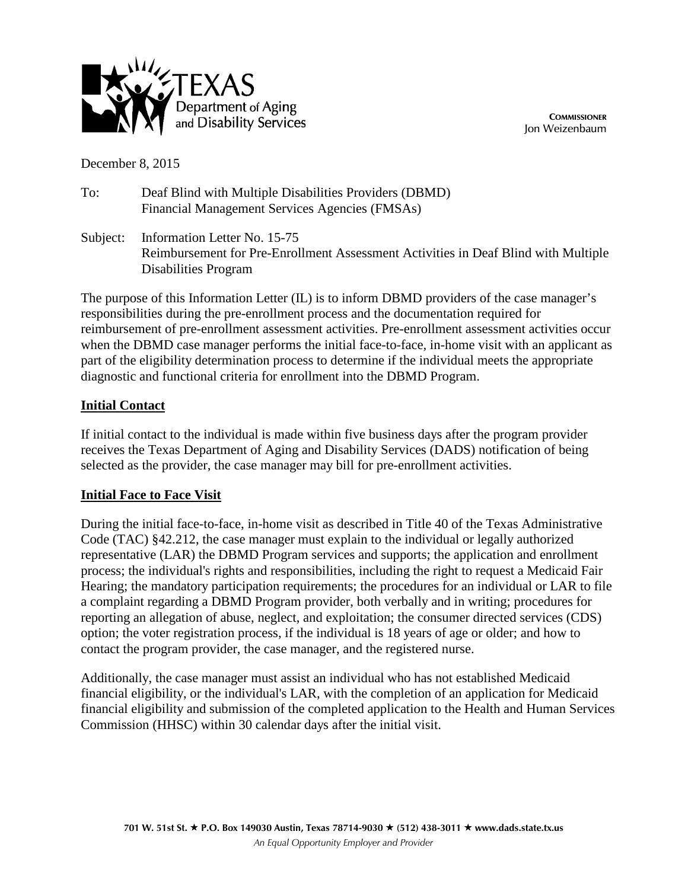

**COMMISSIONER** Jon Weizenbaum

December 8, 2015

To: Deaf Blind with Multiple Disabilities Providers (DBMD) Financial Management Services Agencies (FMSAs)

Subject: Information Letter No. 15-75 Reimbursement for Pre-Enrollment Assessment Activities in Deaf Blind with Multiple Disabilities Program

The purpose of this Information Letter (IL) is to inform DBMD providers of the case manager's responsibilities during the pre-enrollment process and the documentation required for reimbursement of pre-enrollment assessment activities. Pre-enrollment assessment activities occur when the DBMD case manager performs the initial face-to-face, in-home visit with an applicant as part of the eligibility determination process to determine if the individual meets the appropriate diagnostic and functional criteria for enrollment into the DBMD Program.

## **Initial Contact**

If initial contact to the individual is made within five business days after the program provider receives the Texas Department of Aging and Disability Services (DADS) notification of being selected as the provider, the case manager may bill for pre-enrollment activities.

## **Initial Face to Face Visit**

During the initial face-to-face, in-home visit as described in Title 40 of the Texas Administrative Code (TAC) §42.212, the case manager must explain to the individual or legally authorized representative (LAR) the DBMD Program services and supports; the application and enrollment process; the individual's rights and responsibilities, including the right to request a Medicaid Fair Hearing; the mandatory participation requirements; the procedures for an individual or LAR to file a complaint regarding a DBMD Program provider, both verbally and in writing; procedures for reporting an allegation of abuse, neglect, and exploitation; the consumer directed services (CDS) option; the voter registration process, if the individual is 18 years of age or older; and how to contact the program provider, the case manager, and the registered nurse.

Additionally, the case manager must assist an individual who has not established Medicaid financial eligibility, or the individual's LAR, with the completion of an application for Medicaid financial eligibility and submission of the completed application to the Health and Human Services Commission (HHSC) within 30 calendar days after the initial visit.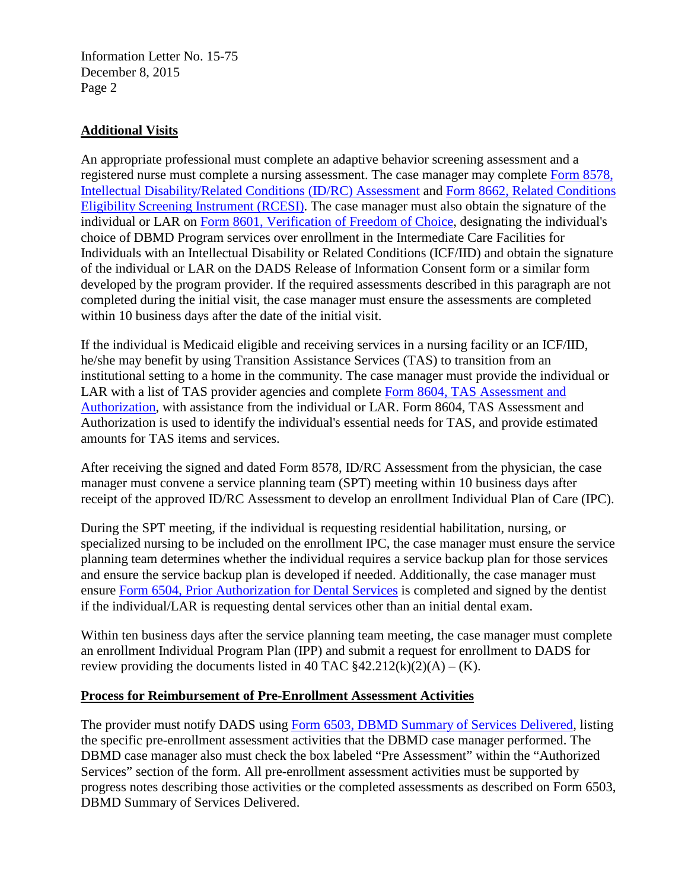Information Letter No. 15-75 December 8, 2015 Page 2

## **Additional Visits**

An appropriate professional must complete an adaptive behavior screening assessment and a registered nurse must complete a nursing assessment. The case manager may complete [Form 8578,](http://www.dads.state.tx.us/forms/8578/)  Intellectual [Disability/Related Conditions \(ID/RC\) Assessment](http://www.dads.state.tx.us/forms/8578/) and Form 8662, [Related Conditions](http://www.dads.state.tx.us/forms/8662/)  [Eligibility Screening Instrument \(RCESI\).](http://www.dads.state.tx.us/forms/8662/) The case manager must also obtain the signature of the individual or LAR on Form 8601, [Verification of Freedom of Choice,](http://www.dads.state.tx.us/forms/8601/) designating the individual's choice of DBMD Program services over enrollment in the Intermediate Care Facilities for Individuals with an Intellectual Disability or Related Conditions (ICF/IID) and obtain the signature of the individual or LAR on the DADS Release of Information Consent form or a similar form developed by the program provider. If the required assessments described in this paragraph are not completed during the initial visit, the case manager must ensure the assessments are completed within 10 business days after the date of the initial visit.

If the individual is Medicaid eligible and receiving services in a nursing facility or an ICF/IID, he/she may benefit by using Transition Assistance Services (TAS) to transition from an institutional setting to a home in the community. The case manager must provide the individual or LAR with a list of TAS provider agencies and complete Form 8604, [TAS Assessment and](http://www.dads.state.tx.us/forms/8604/)  [Authorization,](http://www.dads.state.tx.us/forms/8604/) with assistance from the individual or LAR. Form 8604, TAS Assessment and Authorization is used to identify the individual's essential needs for TAS, and provide estimated amounts for TAS items and services.

After receiving the signed and dated Form 8578, ID/RC Assessment from the physician, the case manager must convene a service planning team (SPT) meeting within 10 business days after receipt of the approved ID/RC Assessment to develop an enrollment Individual Plan of Care (IPC).

During the SPT meeting, if the individual is requesting residential habilitation, nursing, or specialized nursing to be included on the enrollment IPC, the case manager must ensure the service planning team determines whether the individual requires a service backup plan for those services and ensure the service backup plan is developed if needed. Additionally, the case manager must ensure [Form 6504, Prior Authorization for Dental Services](http://www.dads.state.tx.us/forms/6504/) is completed and signed by the dentist if the individual/LAR is requesting dental services other than an initial dental exam.

Within ten business days after the service planning team meeting, the case manager must complete an enrollment Individual Program Plan (IPP) and submit a request for enrollment to DADS for review providing the documents listed in 40 TAC  $$42.212(k)(2)(A) - (K)$ .

## **Process for Reimbursement of Pre-Enrollment Assessment Activities**

The provider must notify DADS using [Form 6503, DBMD Summary of Services Delivered,](http://www.dads.state.tx.us/forms/6503/) listing the specific pre-enrollment assessment activities that the DBMD case manager performed. The DBMD case manager also must check the box labeled "Pre Assessment" within the "Authorized Services" section of the form. All pre-enrollment assessment activities must be supported by progress notes describing those activities or the completed assessments as described on Form 6503, DBMD Summary of Services Delivered.